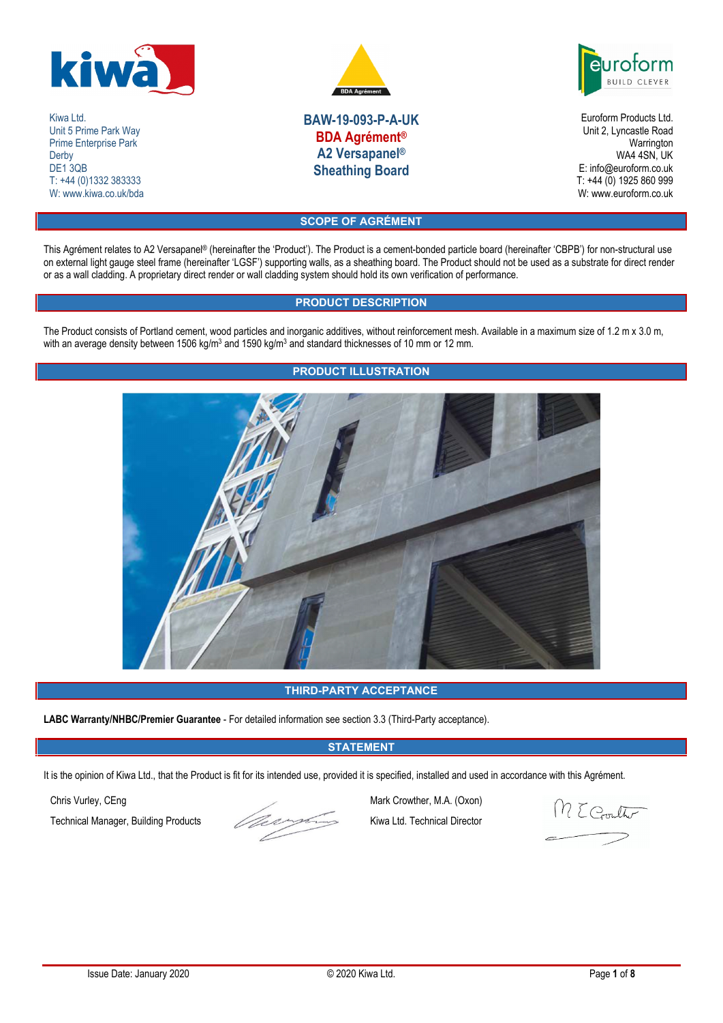

Kiwa Ltd. Unit 5 Prime Park Way Prime Enterprise Park **Derby** DE<sub>1</sub>3QB T: +44 (0)1332 383333 W: www.kiwa.co.uk/bda



**ILD CLEY** 

**BAW-19-093-P-A-UK BDA Agrément® A2 Versapanel® Sheathing Board**

Euroform Products Ltd. Unit 2, Lyncastle Road Warrington WA4 4SN, UK E: info@euroform.co.uk T: +44 (0) 1925 860 999 W: www.euroform.co.uk

# **SCOPE OF AGRÉMENT**

This Agrément relates to A2 Versapanel® (hereinafter the 'Product'). The Product is a cement-bonded particle board (hereinafter 'CBPB') for non-structural use on external light gauge steel frame (hereinafter 'LGSF') supporting walls, as a sheathing board. The Product should not be used as a substrate for direct render or as a wall cladding. A proprietary direct render or wall cladding system should hold its own verification of performance.

# **PRODUCT DESCRIPTION**

The Product consists of Portland cement, wood particles and inorganic additives, without reinforcement mesh. Available in a maximum size of 1.2 m x 3.0 m, with an average density between 1506 kg/m<sup>3</sup> and 1590 kg/m<sup>3</sup> and standard thicknesses of 10 mm or 12 mm.



# **THIRD-PARTY ACCEPTANCE**

**LABC Warranty/NHBC/Premier Guarantee** - For detailed information see section 3.3 (Third-Party acceptance).

# **STATEMENT**

It is the opinion of Kiwa Ltd., that the Product is fit for its intended use, provided it is specified, installed and used in accordance with this Agrément.

Technical Manager, Building Products Kiwa Ltd. Technical Director

Chris Vurley, CEng Mark Crowther, M.A. (Oxon)<br>Technical Manager, Building Products Kiwa Ltd. Technical Director

M E Gouth

# **PRODUCT ILLUSTRATION**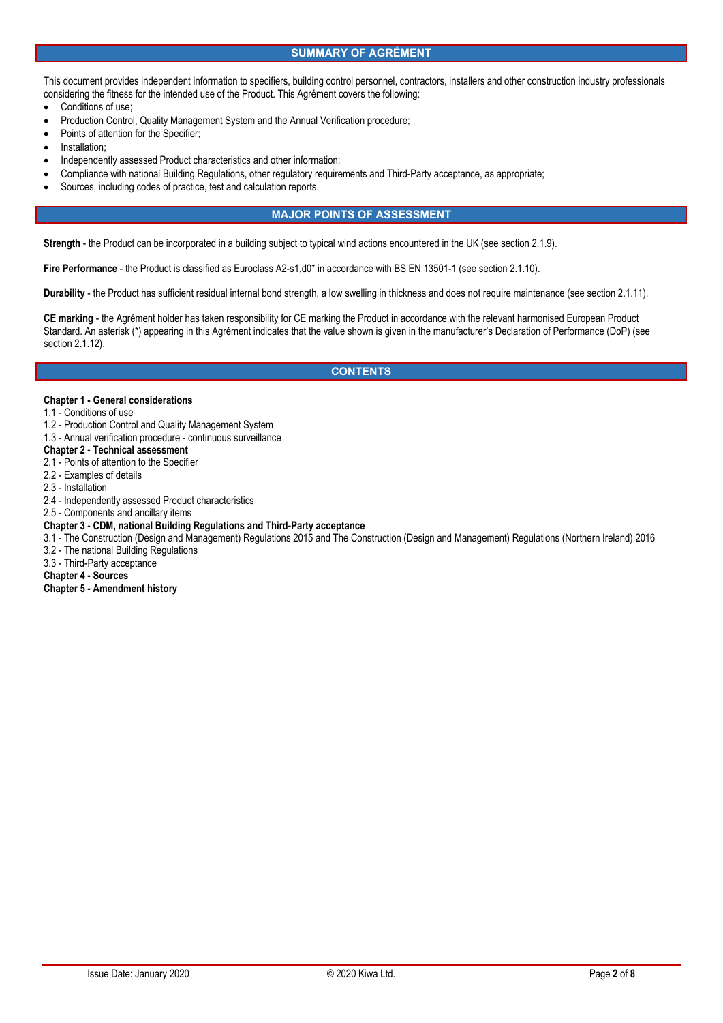## **SUMMARY OF AGRÉMENT**

This document provides independent information to specifiers, building control personnel, contractors, installers and other construction industry professionals considering the fitness for the intended use of the Product. This Agrément covers the following:

- Conditions of use;
- Production Control, Quality Management System and the Annual Verification procedure;
- Points of attention for the Specifier;
- Installation;
- Independently assessed Product characteristics and other information;
- Compliance with national Building Regulations, other regulatory requirements and Third-Party acceptance, as appropriate;
- Sources, including codes of practice, test and calculation reports.

# **MAJOR POINTS OF ASSESSMENT**

**Strength** - the Product can be incorporated in a building subject to typical wind actions encountered in the UK (see section 2.1.9).

**Fire Performance** - the Product is classified as Euroclass A2-s1,d0\* in accordance with BS EN 13501-1 (see section 2.1.10).

**Durability** - the Product has sufficient residual internal bond strength, a low swelling in thickness and does not require maintenance (see section 2.1.11).

**CE marking** - the Agrément holder has taken responsibility for CE marking the Product in accordance with the relevant harmonised European Product Standard. An asterisk (\*) appearing in this Agrément indicates that the value shown is given in the manufacturer's Declaration of Performance (DoP) (see section 2.1.12).

### **CONTENTS**

### **Chapter 1 - General considerations**

- 1.1 Conditions of use
- 1.2 Production Control and Quality Management System
- 1.3 Annual verification procedure continuous surveillance

# **Chapter 2 - Technical assessment**

- 2.1 Points of attention to the Specifier
- 2.2 Examples of details
- 2.3 Installation
- 2.4 Independently assessed Product characteristics

# 2.5 - Components and ancillary items

- **Chapter 3 - CDM, national Building Regulations and Third-Party acceptance**
- 3.1 The Construction (Design and Management) Regulations 2015 and The Construction (Design and Management) Regulations (Northern Ireland) 2016
- 3.2 The national Building Regulations
- 3.3 Third-Party acceptance

### **Chapter 4 - Sources**

**Chapter 5 - Amendment history**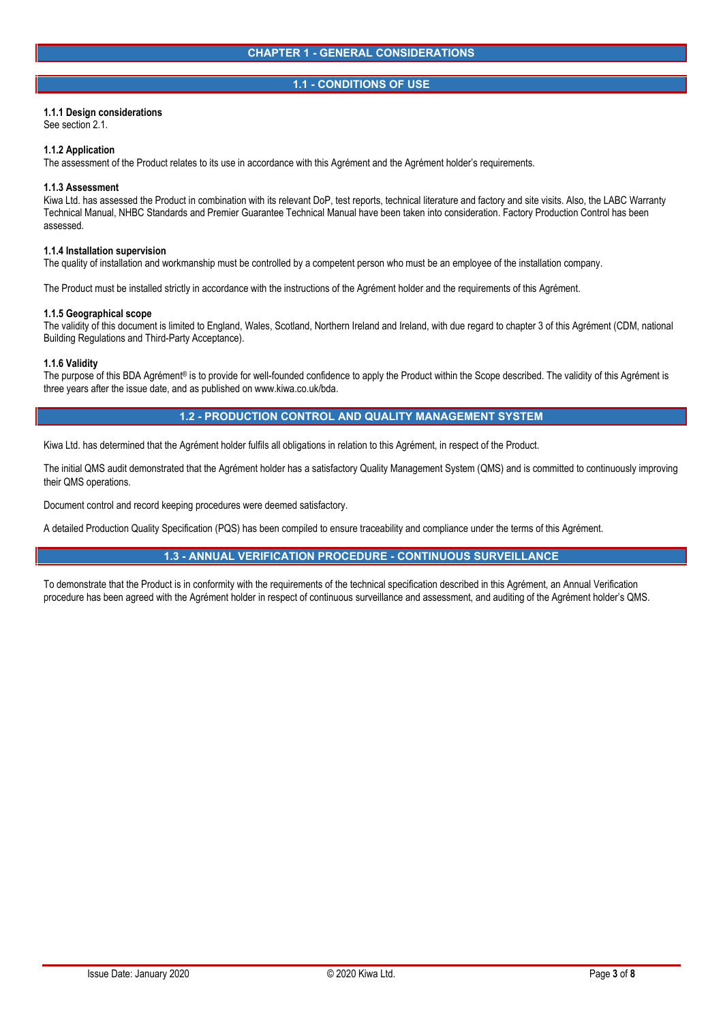# **1.1 - CONDITIONS OF USE**

## **1.1.1 Design considerations**

See section 2.1.

### **1.1.2 Application**

The assessment of the Product relates to its use in accordance with this Agrément and the Agrément holder's requirements.

### **1.1.3 Assessment**

Kiwa Ltd. has assessed the Product in combination with its relevant DoP, test reports, technical literature and factory and site visits. Also, the LABC Warranty Technical Manual, NHBC Standards and Premier Guarantee Technical Manual have been taken into consideration. Factory Production Control has been assessed.

### **1.1.4 Installation supervision**

The quality of installation and workmanship must be controlled by a competent person who must be an employee of the installation company.

The Product must be installed strictly in accordance with the instructions of the Agrément holder and the requirements of this Agrément.

### **1.1.5 Geographical scope**

The validity of this document is limited to England, Wales, Scotland, Northern Ireland and Ireland, with due regard to chapter 3 of this Agrément (CDM, national Building Regulations and Third-Party Acceptance).

### **1.1.6 Validity**

The purpose of this BDA Agrément® is to provide for well-founded confidence to apply the Product within the Scope described. The validity of this Agrément is three years after the issue date, and as published on www.kiwa.co.uk/bda.

# **1.2 - PRODUCTION CONTROL AND QUALITY MANAGEMENT SYSTEM**

Kiwa Ltd. has determined that the Agrément holder fulfils all obligations in relation to this Agrément, in respect of the Product.

The initial QMS audit demonstrated that the Agrément holder has a satisfactory Quality Management System (QMS) and is committed to continuously improving their QMS operations.

Document control and record keeping procedures were deemed satisfactory.

A detailed Production Quality Specification (PQS) has been compiled to ensure traceability and compliance under the terms of this Agrément.

# **1.3 - ANNUAL VERIFICATION PROCEDURE - CONTINUOUS SURVEILLANCE**

To demonstrate that the Product is in conformity with the requirements of the technical specification described in this Agrément, an Annual Verification procedure has been agreed with the Agrément holder in respect of continuous surveillance and assessment, and auditing of the Agrément holder's QMS.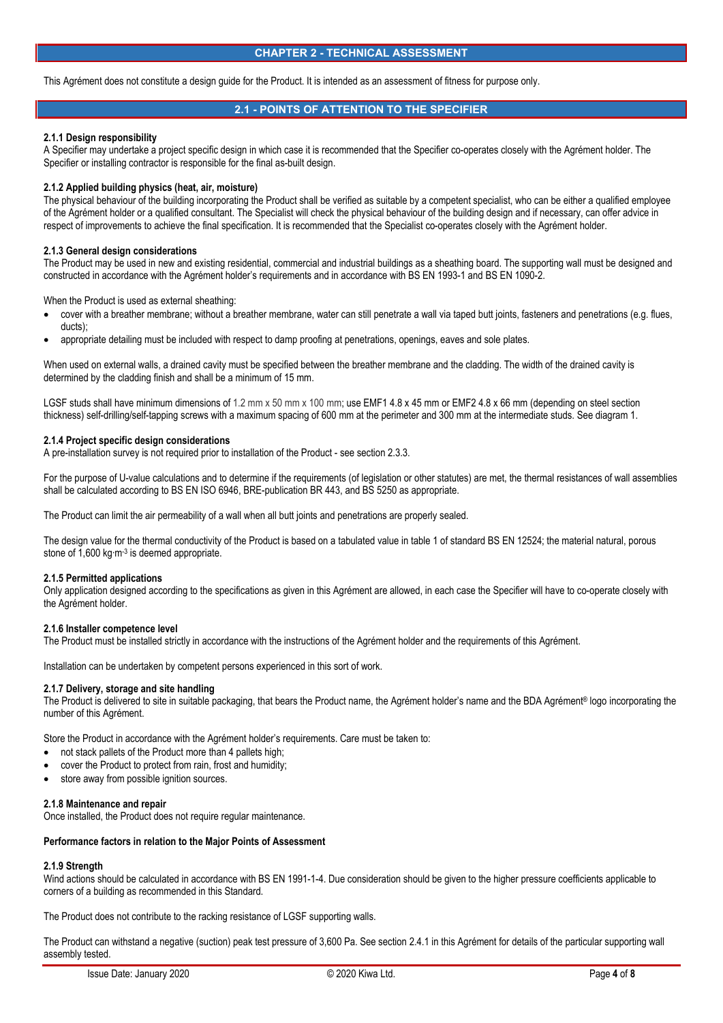### **CHAPTER 2 - TECHNICAL ASSESSMENT**

This Agrément does not constitute a design guide for the Product. It is intended as an assessment of fitness for purpose only.

# **2.1 - POINTS OF ATTENTION TO THE SPECIFIER**

### **2.1.1 Design responsibility**

A Specifier may undertake a project specific design in which case it is recommended that the Specifier co-operates closely with the Agrément holder. The Specifier or installing contractor is responsible for the final as-built design.

### **2.1.2 Applied building physics (heat, air, moisture)**

The physical behaviour of the building incorporating the Product shall be verified as suitable by a competent specialist, who can be either a qualified employee of the Agrément holder or a qualified consultant. The Specialist will check the physical behaviour of the building design and if necessary, can offer advice in respect of improvements to achieve the final specification. It is recommended that the Specialist co-operates closely with the Agrément holder.

### **2.1.3 General design considerations**

The Product may be used in new and existing residential, commercial and industrial buildings as a sheathing board. The supporting wall must be designed and constructed in accordance with the Agrément holder's requirements and in accordance with BS EN 1993-1 and BS EN 1090-2.

When the Product is used as external sheathing:

- cover with a breather membrane; without a breather membrane, water can still penetrate a wall via taped butt joints, fasteners and penetrations (e.g. flues, ducts)
- appropriate detailing must be included with respect to damp proofing at penetrations, openings, eaves and sole plates.

When used on external walls, a drained cavity must be specified between the breather membrane and the cladding. The width of the drained cavity is determined by the cladding finish and shall be a minimum of 15 mm.

LGSF studs shall have minimum dimensions of 1.2 mm x 50 mm x 100 mm; use EMF1 4.8 x 45 mm or EMF2 4.8 x 66 mm (depending on steel section thickness) self-drilling/self-tapping screws with a maximum spacing of 600 mm at the perimeter and 300 mm at the intermediate studs. See diagram 1.

### **2.1.4 Project specific design considerations**

A pre-installation survey is not required prior to installation of the Product - see section 2.3.3.

For the purpose of U-value calculations and to determine if the requirements (of legislation or other statutes) are met, the thermal resistances of wall assemblies shall be calculated according to BS EN ISO 6946, BRE-publication BR 443, and BS 5250 as appropriate.

The Product can limit the air permeability of a wall when all butt joints and penetrations are properly sealed.

The design value for the thermal conductivity of the Product is based on a tabulated value in table 1 of standard BS EN 12524; the material natural, porous stone of 1,600 kg⋅m<sup>-3</sup> is deemed appropriate.

### **2.1.5 Permitted applications**

Only application designed according to the specifications as given in this Agrément are allowed, in each case the Specifier will have to co-operate closely with the Agrément holder.

### **2.1.6 Installer competence level**

The Product must be installed strictly in accordance with the instructions of the Agrément holder and the requirements of this Agrément.

Installation can be undertaken by competent persons experienced in this sort of work.

### **2.1.7 Delivery, storage and site handling**

The Product is delivered to site in suitable packaging, that bears the Product name, the Agrément holder's name and the BDA Agrément® logo incorporating the number of this Agrément.

Store the Product in accordance with the Agrément holder's requirements. Care must be taken to:

- not stack pallets of the Product more than 4 pallets high;
- cover the Product to protect from rain, frost and humidity;
- store away from possible ignition sources.

### **2.1.8 Maintenance and repair**

Once installed, the Product does not require regular maintenance.

## **Performance factors in relation to the Major Points of Assessment**

# **2.1.9 Strength**

Wind actions should be calculated in accordance with BS EN 1991-1-4. Due consideration should be given to the higher pressure coefficients applicable to corners of a building as recommended in this Standard.

The Product does not contribute to the racking resistance of LGSF supporting walls.

The Product can withstand a negative (suction) peak test pressure of 3,600 Pa. See section 2.4.1 in this Agrément for details of the particular supporting wall assembly tested.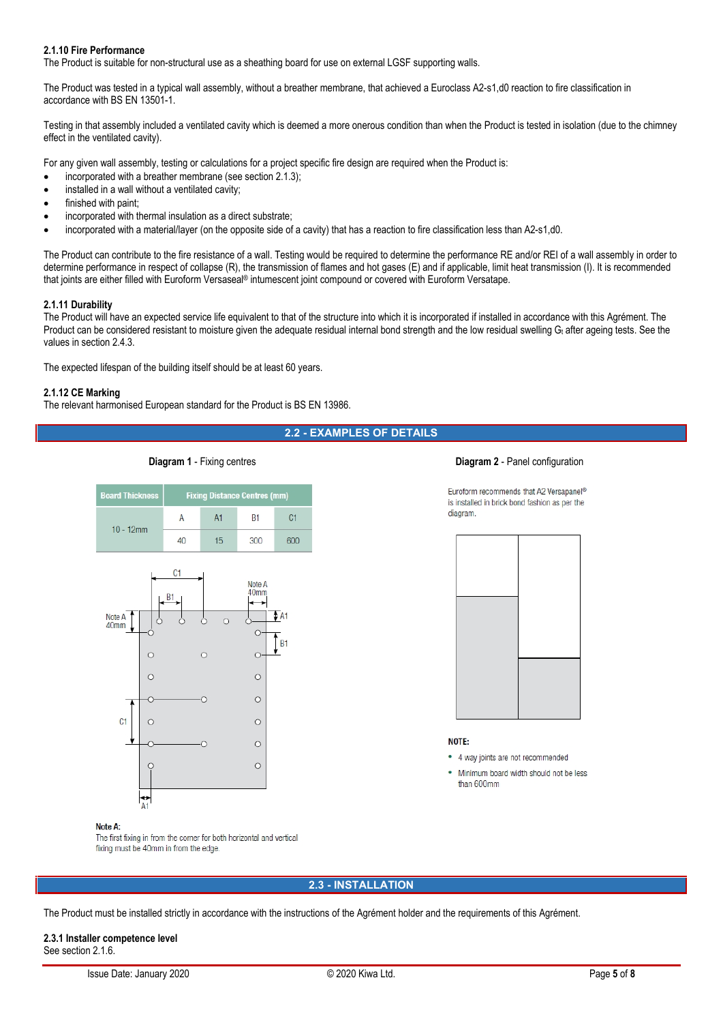## **2.1.10 Fire Performance**

The Product is suitable for non-structural use as a sheathing board for use on external LGSF supporting walls.

The Product was tested in a typical wall assembly, without a breather membrane, that achieved a Euroclass A2-s1,d0 reaction to fire classification in accordance with BS EN 13501-1.

Testing in that assembly included a ventilated cavity which is deemed a more onerous condition than when the Product is tested in isolation (due to the chimney effect in the ventilated cavity).

For any given wall assembly, testing or calculations for a project specific fire design are required when the Product is:

- incorporated with a breather membrane (see section 2.1.3);
- installed in a wall without a ventilated cavity;
- finished with paint;
- incorporated with thermal insulation as a direct substrate;
- incorporated with a material/layer (on the opposite side of a cavity) that has a reaction to fire classification less than A2-s1,d0.

The Product can contribute to the fire resistance of a wall. Testing would be required to determine the performance RE and/or REI of a wall assembly in order to determine performance in respect of collapse (R), the transmission of flames and hot gases (E) and if applicable, limit heat transmission (I). It is recommended that joints are either filled with Euroform Versaseal® intumescent joint compound or covered with Euroform Versatape.

### **2.1.11 Durability**

The Product will have an expected service life equivalent to that of the structure into which it is incorporated if installed in accordance with this Agrément. The Product can be considered resistant to moisture given the adequate residual internal bond strength and the low residual swelling Gt after ageing tests. See the values in section 2.4.3.

The expected lifespan of the building itself should be at least 60 years.

### **2.1.12 CE Marking**

The relevant harmonised European standard for the Product is BS EN 13986.

# **2.2 - EXAMPLES OF DETAILS**





### **Diagram 1** - Fixing centres **Diagram 2** - Panel configuration

Euroform recommends that A2 Versapanel® is installed in brick bond fashion as per the diagram.



### NOTE:

• 4 way joints are not recommended

Minimum board width should not be less than 600mm

## Note A:

The first fixing in from the corner for both horizontal and vertical fixing must be 40mm in from the edge.

# **2.3 - INSTALLATION**

The Product must be installed strictly in accordance with the instructions of the Agrément holder and the requirements of this Agrément.

# **2.3.1 Installer competence level** See section 2.1.6.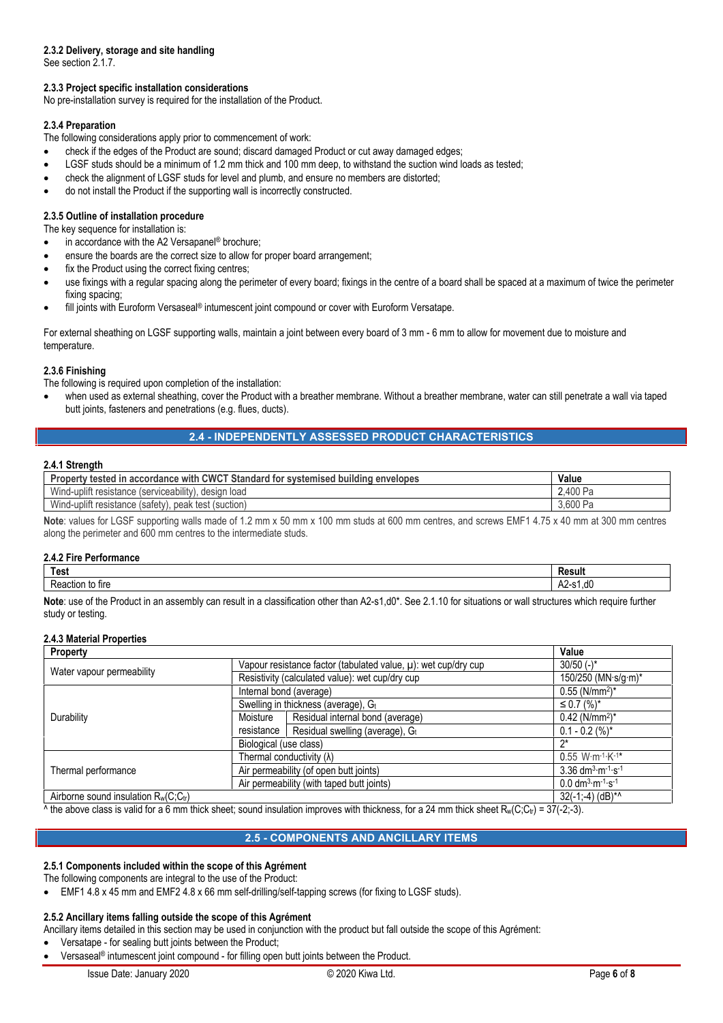# **2.3.2 Delivery, storage and site handling**

See section 2.1.7.

# **2.3.3 Project specific installation considerations**

No pre-installation survey is required for the installation of the Product.

## **2.3.4 Preparation**

The following considerations apply prior to commencement of work:

- check if the edges of the Product are sound; discard damaged Product or cut away damaged edges;
- LGSF studs should be a minimum of 1.2 mm thick and 100 mm deep, to withstand the suction wind loads as tested;
- check the alignment of LGSF studs for level and plumb, and ensure no members are distorted;
- do not install the Product if the supporting wall is incorrectly constructed.

## **2.3.5 Outline of installation procedure**

- The key sequence for installation is:
- in accordance with the A2 Versapanel® brochure;
- ensure the boards are the correct size to allow for proper board arrangement;
- fix the Product using the correct fixing centres;
- use fixings with a regular spacing along the perimeter of every board; fixings in the centre of a board shall be spaced at a maximum of twice the perimeter fixing spacing;
- fill joints with Euroform Versaseal® intumescent joint compound or cover with Euroform Versatape.

For external sheathing on LGSF supporting walls, maintain a joint between every board of 3 mm - 6 mm to allow for movement due to moisture and temperature.

## **2.3.6 Finishing**

The following is required upon completion of the installation:

 when used as external sheathing, cover the Product with a breather membrane. Without a breather membrane, water can still penetrate a wall via taped butt joints, fasteners and penetrations (e.g. flues, ducts).

# **2.4 - INDEPENDENTLY ASSESSED PRODUCT CHARACTERISTICS**

## **2.4.1 Strength**

| v tested in accordance with CWCT Standard for systemised i<br>D×.<br>envelopes<br>  buildina | Value        |
|----------------------------------------------------------------------------------------------|--------------|
| <br>Wind-uplift<br>load<br>desian<br>(serviceability)<br>resistance i                        | 2.400<br>- ت |
| Wind-uplift<br>. peak test (suction)<br>(satetv).<br>resistance (                            | 3.600<br>്   |

**Note**: values for LGSF supporting walls made of 1.2 mm x 50 mm x 100 mm studs at 600 mm centres, and screws EMF1 4.75 x 40 mm at 300 mm centres along the perimeter and 600 mm centres to the intermediate studs.

## **2.4.2 Fire Performance**

| <b>Test</b>      | `asuh_<br>. . |
|------------------|---------------|
| tire<br>чк.<br>w | .a<br>∼       |

**Note**: use of the Product in an assembly can result in a classification other than A2-s1,d0\*. See 2.1.10 for situations or wall structures which require further study or testing.

## **2.4.3 Material Properties**

| Property                                   | Value                                                               |                                  |                                                           |
|--------------------------------------------|---------------------------------------------------------------------|----------------------------------|-----------------------------------------------------------|
| Water vapour permeability                  | Vapour resistance factor (tabulated value, $\mu$ ): wet cup/dry cup |                                  | $30/50$ (-)*                                              |
|                                            | Resistivity (calculated value): wet cup/dry cup                     |                                  | 150/250 (MN·s/g·m)*                                       |
| Durability                                 | Internal bond (average)                                             |                                  | $0.55$ (N/mm <sup>2</sup> )*                              |
|                                            | Swelling in thickness (average), Gt                                 |                                  | $\leq$ 0.7 $(%)^*$                                        |
|                                            | Moisture                                                            | Residual internal bond (average) | $0.42$ (N/mm <sup>2</sup> )*                              |
|                                            | resistance                                                          | Residual swelling (average), Gt  | $0.1 - 0.2$ (%)*                                          |
|                                            | Biological (use class)                                              |                                  | ′ን*                                                       |
| Thermal performance                        | Thermal conductivity $(\lambda)$                                    |                                  | $0.55$ W·m <sup>-1</sup> ·K <sup>-1*</sup>                |
|                                            | Air permeability (of open butt joints)                              |                                  | 3.36 $dm^{3} \cdot m^{-1} \cdot s^{-1}$                   |
|                                            | Air permeability (with taped butt joints)                           |                                  | $0.0$ dm <sup>3</sup> $\cdot$ m $^{-1}$ $\cdot$ s $^{-1}$ |
| Airborne sound insulation $R_w(C; C_{tr})$ |                                                                     |                                  | $32(-1,-4)$ (dB) <sup>*^</sup>                            |

^ the above class is valid for a 6 mm thick sheet; sound insulation improves with thickness, for a 24 mm thick sheet R<sub>w</sub>(C;C<sub>tr</sub>) = 37(-2;-3).

# **2.5 - COMPONENTS AND ANCILLARY ITEMS**

## **2.5.1 Components included within the scope of this Agrément**

The following components are integral to the use of the Product:

EMF1 4.8 x 45 mm and EMF2 4.8 x 66 mm self-drilling/self-tapping screws (for fixing to LGSF studs).

## **2.5.2 Ancillary items falling outside the scope of this Agrément**

Ancillary items detailed in this section may be used in conjunction with the product but fall outside the scope of this Agrément:

- Versatape for sealing butt joints between the Product;
- Versaseal® intumescent joint compound for filling open butt joints between the Product.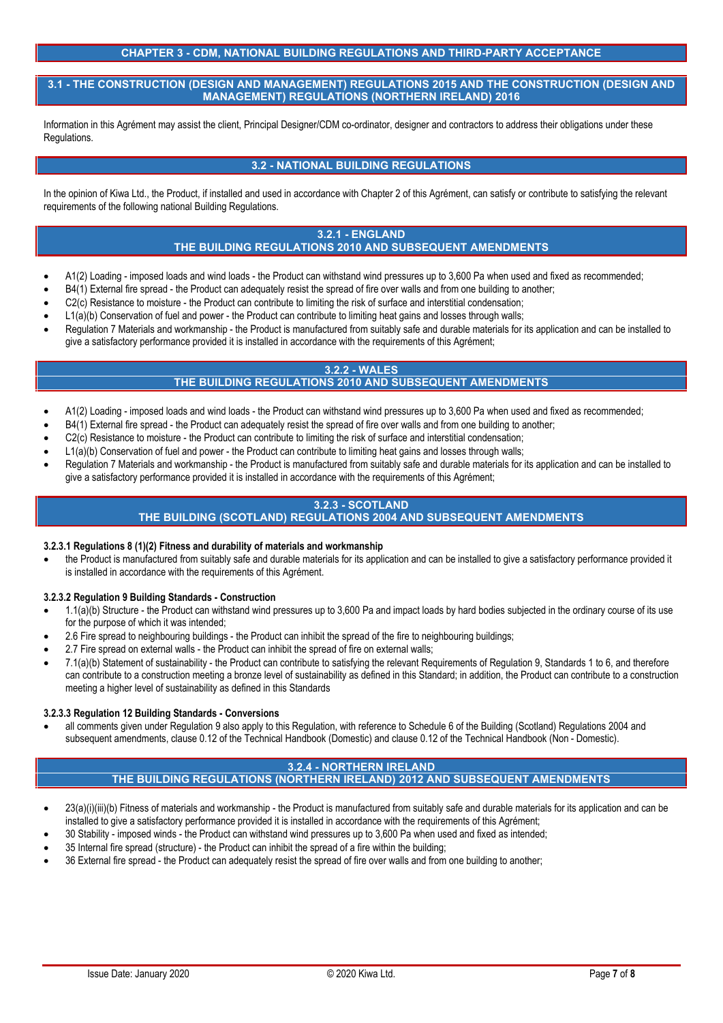# **CHAPTER 3 - CDM, NATIONAL BUILDING REGULATIONS AND THIRD-PARTY ACCEPTANCE**

**3.1 - THE CONSTRUCTION (DESIGN AND MANAGEMENT) REGULATIONS 2015 AND THE CONSTRUCTION (DESIGN AND MANAGEMENT) REGULATIONS (NORTHERN IRELAND) 2016**

Information in this Agrément may assist the client, Principal Designer/CDM co-ordinator, designer and contractors to address their obligations under these Regulations.

# **3.2 - NATIONAL BUILDING REGULATIONS**

In the opinion of Kiwa Ltd., the Product, if installed and used in accordance with Chapter 2 of this Agrément, can satisfy or contribute to satisfying the relevant requirements of the following national Building Regulations.

# **3.2.1 - ENGLAND**

# **THE BUILDING REGULATIONS 2010 AND SUBSEQUENT AMENDMENTS**

- A1(2) Loading imposed loads and wind loads the Product can withstand wind pressures up to 3,600 Pa when used and fixed as recommended;
- B4(1) External fire spread the Product can adequately resist the spread of fire over walls and from one building to another;
- C2(c) Resistance to moisture the Product can contribute to limiting the risk of surface and interstitial condensation;
- L1(a)(b) Conservation of fuel and power the Product can contribute to limiting heat gains and losses through walls;
- Regulation 7 Materials and workmanship the Product is manufactured from suitably safe and durable materials for its application and can be installed to give a satisfactory performance provided it is installed in accordance with the requirements of this Agrément;

# **3.2.2 - WALES**

# **THE BUILDING REGULATIONS 2010 AND SUBSEQUENT AMENDMENTS**

- A1(2) Loading imposed loads and wind loads the Product can withstand wind pressures up to 3,600 Pa when used and fixed as recommended;
- B4(1) External fire spread the Product can adequately resist the spread of fire over walls and from one building to another;
- C2(c) Resistance to moisture the Product can contribute to limiting the risk of surface and interstitial condensation;
- L1(a)(b) Conservation of fuel and power the Product can contribute to limiting heat gains and losses through walls;
- Regulation 7 Materials and workmanship the Product is manufactured from suitably safe and durable materials for its application and can be installed to give a satisfactory performance provided it is installed in accordance with the requirements of this Agrément;

# **3.2.3 - SCOTLAND THE BUILDING (SCOTLAND) REGULATIONS 2004 AND SUBSEQUENT AMENDMENTS**

## **3.2.3.1 Regulations 8 (1)(2) Fitness and durability of materials and workmanship**

 the Product is manufactured from suitably safe and durable materials for its application and can be installed to give a satisfactory performance provided it is installed in accordance with the requirements of this Agrément.

# **3.2.3.2 Regulation 9 Building Standards - Construction**

- 1.1(a)(b) Structure the Product can withstand wind pressures up to 3,600 Pa and impact loads by hard bodies subjected in the ordinary course of its use for the purpose of which it was intended;
- 2.6 Fire spread to neighbouring buildings the Product can inhibit the spread of the fire to neighbouring buildings;
- 2.7 Fire spread on external walls the Product can inhibit the spread of fire on external walls;
- 7.1(a)(b) Statement of sustainability the Product can contribute to satisfying the relevant Requirements of Regulation 9, Standards 1 to 6, and therefore can contribute to a construction meeting a bronze level of sustainability as defined in this Standard; in addition, the Product can contribute to a construction meeting a higher level of sustainability as defined in this Standards

## **3.2.3.3 Regulation 12 Building Standards - Conversions**

 all comments given under Regulation 9 also apply to this Regulation, with reference to Schedule 6 of the Building (Scotland) Regulations 2004 and subsequent amendments, clause 0.12 of the Technical Handbook (Domestic) and clause 0.12 of the Technical Handbook (Non - Domestic).

### **3.2.4 - NORTHERN IRELAND THE BUILDING REGULATIONS (NORTHERN IRELAND) 2012 AND SUBSEQUENT AMENDMENTS**

- 23(a)(i)(iii)(b) Fitness of materials and workmanship the Product is manufactured from suitably safe and durable materials for its application and can be installed to give a satisfactory performance provided it is installed in accordance with the requirements of this Agrément;
- 30 Stability imposed winds the Product can withstand wind pressures up to 3,600 Pa when used and fixed as intended;
- 35 Internal fire spread (structure) the Product can inhibit the spread of a fire within the building;
- 36 External fire spread the Product can adequately resist the spread of fire over walls and from one building to another;